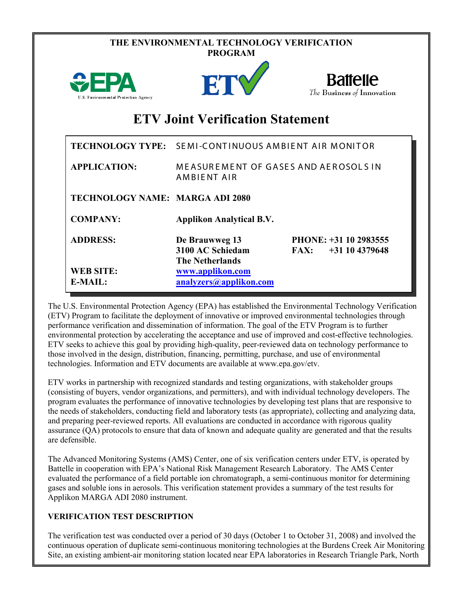|                                      | THE ENVIRONMENTAL TECHNOLOGY VERIFICATION<br><b>PROGRAM</b>  |                                                   |  |  |
|--------------------------------------|--------------------------------------------------------------|---------------------------------------------------|--|--|
| U.S. Environmental Protection Agency | <b>FT</b>                                                    | <b>Battelle</b><br>The Business of Innovation     |  |  |
|                                      | <b>ETV Joint Verification Statement</b>                      |                                                   |  |  |
|                                      | TECHNOLOGY TYPE: SEMI-CONTINUOUS AMBIENT AIR MONITOR         |                                                   |  |  |
| <b>APPLICATION:</b>                  | <b>MEASUREMENT OF GASES AND AEROSOLS IN</b><br>AMBIENT AIR   |                                                   |  |  |
| TECHNOLOGY NAME: MARGA ADI 2080      |                                                              |                                                   |  |  |
| <b>COMPANY:</b>                      | <b>Applikon Analytical B.V.</b>                              |                                                   |  |  |
| <b>ADDRESS:</b>                      | De Brauwweg 13<br>3100 AC Schiedam<br><b>The Netherlands</b> | PHONE: +31 10 2983555<br>FAX:<br>$+31$ 10 4379648 |  |  |
| <b>WEB SITE:</b><br>$E-MAIL:$        | www.applikon.com<br>analyzers@applikon.com                   |                                                   |  |  |

The U.S. Environmental Protection Agency (EPA) has established the Environmental Technology Verification (ETV) Program to facilitate the deployment of innovative or improved environmental technologies through performance verification and dissemination of information. The goal of the ETV Program is to further environmental protection by accelerating the acceptance and use of improved and cost-effective technologies. ETV seeks to achieve this goal by providing high-quality, peer-reviewed data on technology performance to those involved in the design, distribution, financing, permitting, purchase, and use of environmental technologies. Information and ETV documents are available at www.epa.gov/etv.

ETV works in partnership with recognized standards and testing organizations, with stakeholder groups (consisting of buyers, vendor organizations, and permitters), and with individual technology developers. The program evaluates the performance of innovative technologies by developing test plans that are responsive to the needs of stakeholders, conducting field and laboratory tests (as appropriate), collecting and analyzing data, and preparing peer-reviewed reports. All evaluations are conducted in accordance with rigorous quality assurance (QA) protocols to ensure that data of known and adequate quality are generated and that the results are defensible.

The Advanced Monitoring Systems (AMS) Center, one of six verification centers under ETV, is operated by Battelle in cooperation with EPA's National Risk Management Research Laboratory. The AMS Center evaluated the performance of a field portable ion chromatograph, a semi-continuous monitor for determining gases and soluble ions in aerosols. This verification statement provides a summary of the test results for Applikon MARGA ADI 2080 instrument.

## **VERIFICATION TEST DESCRIPTION**

The verification test was conducted over a period of 30 days (October 1 to October 31, 2008) and involved the continuous operation of duplicate semi-continuous monitoring technologies at the Burdens Creek Air Monitoring Site, an existing ambient-air monitoring station located near EPA laboratories in Research Triangle Park, North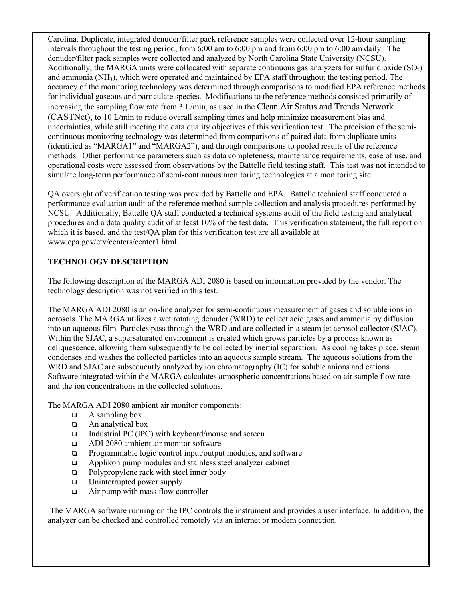Carolina. Duplicate, integrated denuder/filter pack reference samples were collected over 12-hour sampling intervals throughout the testing period, from 6:00 am to 6:00 pm and from 6:00 pm to 6:00 am daily. The denuder/filter pack samples were collected and analyzed by North Carolina State University (NCSU). Additionally, the MARGA units were collocated with separate continuous gas analyzers for sulfur dioxide  $(SO<sub>2</sub>)$ and ammonia (NH3), which were operated and maintained by EPA staff throughout the testing period. The accuracy of the monitoring technology was determined through comparisons to modified EPA reference methods for individual gaseous and particulate species. Modifications to the reference methods consisted primarily of increasing the sampling flow rate from 3 L/min, as used in the Clean Air Status and Trends Network (CASTNet), to 10 L/min to reduce overall sampling times and help minimize measurement bias and uncertainties, while still meeting the data quality objectives of this verification test. The precision of the semicontinuous monitoring technology was determined from comparisons of paired data from duplicate units (identified as "MARGA1" and "MARGA2"), and through comparisons to pooled results of the reference methods. Other performance parameters such as data completeness, maintenance requirements, ease of use, and operational costs were assessed from observations by the Battelle field testing staff. This test was not intended to simulate long-term performance of semi-continuous monitoring technologies at a monitoring site.

QA oversight of verification testing was provided by Battelle and EPA. Battelle technical staff conducted a performance evaluation audit of the reference method sample collection and analysis procedures performed by NCSU. Additionally, Battelle QA staff conducted a technical systems audit of the field testing and analytical procedures and a data quality audit of at least 10% of the test data. This verification statement, the full report on which it is based, and the test/QA plan for this verification test are all available at www.epa.gov/etv/centers/center1.html.

## **TECHNOLOGY DESCRIPTION**

The following description of the MARGA ADI 2080 is based on information provided by the vendor. The technology description was not verified in this test.

The MARGA ADI 2080 is an on-line analyzer for semi-continuous measurement of gases and soluble ions in aerosols. The MARGA utilizes a wet rotating denuder (WRD) to collect acid gases and ammonia by diffusion into an aqueous film. Particles pass through the WRD and are collected in a steam jet aerosol collector (SJAC). Within the SJAC, a supersaturated environment is created which grows particles by a process known as deliquescence, allowing them subsequently to be collected by inertial separation. As cooling takes place, steam condenses and washes the collected particles into an aqueous sample stream. The aqueous solutions from the WRD and SJAC are subsequently analyzed by ion chromatography (IC) for soluble anions and cations. Software integrated within the MARGA calculates atmospheric concentrations based on air sample flow rate and the ion concentrations in the collected solutions.

The MARGA ADI 2080 ambient air monitor components:

- $\Box$  A sampling box
- $\Box$  An analytical box
- $\Box$  Industrial PC (IPC) with keyboard/mouse and screen
- ADI 2080 ambient air monitor software
- **Programmable logic control input/output modules, and software**
- $\Box$  Applikon pump modules and stainless steel analyzer cabinet
- $\Box$  Polypropylene rack with steel inner body
- $\Box$  Uninterrupted power supply
- $\Box$  Air pump with mass flow controller

 The MARGA software running on the IPC controls the instrument and provides a user interface. In addition, the analyzer can be checked and controlled remotely via an internet or modem connection.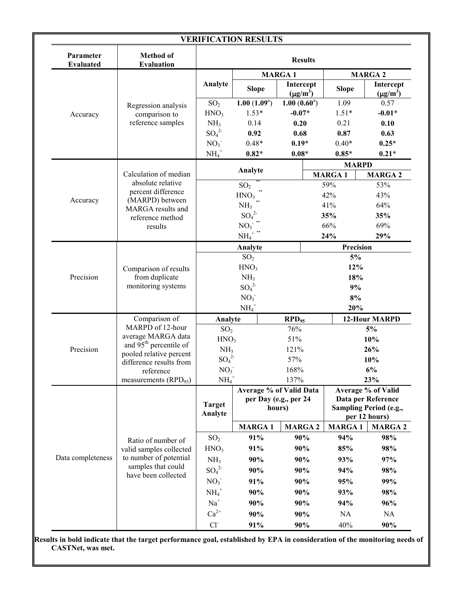| Parameter<br><b>Evaluated</b> | <b>Method of</b><br><b>Evaluation</b>                                                          | <b>Results</b>                                 |                         |                            |                                |                                         |                            |  |
|-------------------------------|------------------------------------------------------------------------------------------------|------------------------------------------------|-------------------------|----------------------------|--------------------------------|-----------------------------------------|----------------------------|--|
|                               |                                                                                                |                                                |                         | <b>MARGA1</b>              |                                | <b>MARGA 2</b>                          |                            |  |
|                               |                                                                                                | Analyte                                        | <b>Slope</b>            | Intercept<br>$(\mu g/m^3)$ | <b>Slope</b>                   |                                         | Intercept<br>$(\mu g/m^3)$ |  |
|                               | Regression analysis                                                                            | SO <sub>2</sub>                                | $1.00(1.09^a)$          | $1.00(0.60^a)$             | 1.09                           |                                         | 0.57                       |  |
| Accuracy                      | comparison to<br>reference samples                                                             | HNO <sub>3</sub>                               | $1.53*$                 | $-0.07*$                   | $1.51*$                        |                                         | $-0.01*$                   |  |
|                               |                                                                                                | NH <sub>3</sub>                                | 0.14                    | 0.20                       | 0.21                           |                                         | 0.10                       |  |
|                               |                                                                                                | $SO_4^2$                                       | 0.92                    | 0.68                       | 0.87                           |                                         | 0.63                       |  |
|                               |                                                                                                | NO <sub>3</sub>                                | $0.48*$                 | $0.19*$                    | $0.40*$                        |                                         | $0.25*$                    |  |
|                               |                                                                                                | $\text{NH}_4^+$                                | $0.82*$                 | $0.08*$                    | $0.85*$                        |                                         | $0.21*$                    |  |
|                               | Calculation of median<br>absolute relative                                                     | Analyte                                        |                         | <b>MARGA1</b>              | <b>MARPD</b><br><b>MARGA 2</b> |                                         |                            |  |
|                               |                                                                                                | SO <sub>2</sub>                                |                         |                            | 59%                            |                                         | 53%                        |  |
|                               | percent difference                                                                             |                                                | HNO <sub>3</sub>        |                            | 42%                            |                                         | 43%                        |  |
| Accuracy                      | (MARPD) between                                                                                |                                                | NH <sub>3</sub>         |                            | 41%                            |                                         | 64%                        |  |
|                               | MARGA results and<br>reference method                                                          |                                                | $SO_4^2$                |                            | 35%                            |                                         | 35%                        |  |
|                               | results                                                                                        |                                                | NO <sub>3</sub>         |                            | 66%                            |                                         | 69%                        |  |
|                               |                                                                                                |                                                | $\text{NH}_4^+$ $^{**}$ |                            | 24%                            |                                         | 29%                        |  |
|                               |                                                                                                |                                                | Analyte                 |                            | Precision                      |                                         |                            |  |
|                               |                                                                                                |                                                | SO <sub>2</sub>         |                            |                                | 5%                                      |                            |  |
|                               | Comparison of results                                                                          | HNO <sub>3</sub>                               |                         |                            |                                | 12%                                     |                            |  |
| Precision                     | from duplicate                                                                                 | NH <sub>3</sub>                                |                         |                            |                                | 18%                                     |                            |  |
|                               | monitoring systems                                                                             |                                                | $SO_4^2$                |                            |                                | 9%                                      |                            |  |
|                               |                                                                                                | NO <sub>3</sub>                                |                         |                            | $8\%$                          |                                         |                            |  |
|                               |                                                                                                |                                                | $NH_4^+$                | 20%                        |                                |                                         |                            |  |
|                               | Comparison of<br>MARPD of 12-hour                                                              | Analyte                                        |                         | $RPD_{95}$                 |                                | 12-Hour MARPD                           |                            |  |
|                               | average MARGA data                                                                             | SO <sub>2</sub>                                |                         | 76%                        |                                |                                         | 5%                         |  |
|                               | and 95 <sup>th</sup> percentile of                                                             | 51%<br>HNO <sub>3</sub>                        |                         |                            |                                | 10%                                     |                            |  |
| Precision                     | pooled relative percent                                                                        | 121%<br>NH <sub>3</sub>                        |                         |                            |                                | 26%                                     |                            |  |
|                               | difference results from                                                                        | $SO_4^2$<br>57%                                |                         |                            |                                | 10%                                     |                            |  |
|                               | reference<br>measurements $(RPD_{95})$                                                         | 168%<br>NO <sub>3</sub>                        |                         | 137%                       | 6%                             |                                         |                            |  |
|                               |                                                                                                | $NH_4$ <sup>+</sup><br>Average % of Valid Data |                         |                            | 23%<br>Average % of Valid      |                                         |                            |  |
|                               |                                                                                                |                                                | per Day (e.g., per 24   |                            |                                | Data per Reference                      |                            |  |
|                               |                                                                                                | <b>Target</b><br>hours)<br>Analyte             |                         |                            |                                | Sampling Period (e.g.,<br>per 12 hours) |                            |  |
|                               |                                                                                                |                                                | <b>MARGA1</b>           | <b>MARGA 2</b>             | <b>MARGA1</b>                  |                                         | <b>MARGA 2</b>             |  |
|                               | Ratio of number of                                                                             | SO <sub>2</sub>                                | 91%                     | 90%                        | 94%                            |                                         | 98%                        |  |
|                               | valid samples collected<br>to number of potential<br>samples that could<br>have been collected | HNO <sub>3</sub>                               | 91%                     | 90%                        | 85%                            |                                         | 98%                        |  |
| Data completeness             |                                                                                                | NH <sub>3</sub>                                | 90%                     | 90%                        | 93%                            |                                         | 97%                        |  |
|                               |                                                                                                | $SO_4^2$                                       | 90%                     | 90%                        | 94%                            |                                         | 98%                        |  |
|                               |                                                                                                | NO <sub>3</sub>                                | 91%                     | 90%                        | 95%                            |                                         | 99%                        |  |
|                               |                                                                                                | $NH4+$                                         | 90%                     | 90%                        | 93%                            |                                         | 98%                        |  |
|                               |                                                                                                | $Na+$                                          | 90%                     | 90%                        | 94%                            |                                         | 96%                        |  |
|                               |                                                                                                | $Ca^{2+}$                                      | 90%                     | 90%                        | <b>NA</b>                      |                                         | NA                         |  |
|                               |                                                                                                | $Cl-$                                          | 91%                     | 90%                        | 40%                            |                                         | 90%                        |  |